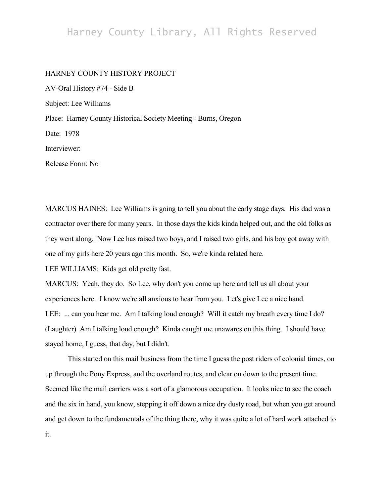## Harney County Library, All Rights Reserved

## HARNEY COUNTY HISTORY PROJECT

AV-Oral History #74 - Side B Subject: Lee Williams Place: Harney County Historical Society Meeting - Burns, Oregon Date: 1978 Interviewer: Release Form: No

MARCUS HAINES: Lee Williams is going to tell you about the early stage days. His dad was a contractor over there for many years. In those days the kids kinda helped out, and the old folks as they went along. Now Lee has raised two boys, and I raised two girls, and his boy got away with one of my girls here 20 years ago this month. So, we're kinda related here.

LEE WILLIAMS: Kids get old pretty fast.

MARCUS: Yeah, they do. So Lee, why don't you come up here and tell us all about your experiences here. I know we're all anxious to hear from you. Let's give Lee a nice hand. LEE: ... can you hear me. Am I talking loud enough? Will it catch my breath every time I do? (Laughter) Am I talking loud enough? Kinda caught me unawares on this thing. I should have stayed home, I guess, that day, but I didn't.

This started on this mail business from the time I guess the post riders of colonial times, on up through the Pony Express, and the overland routes, and clear on down to the present time. Seemed like the mail carriers was a sort of a glamorous occupation. It looks nice to see the coach and the six in hand, you know, stepping it off down a nice dry dusty road, but when you get around and get down to the fundamentals of the thing there, why it was quite a lot of hard work attached to it.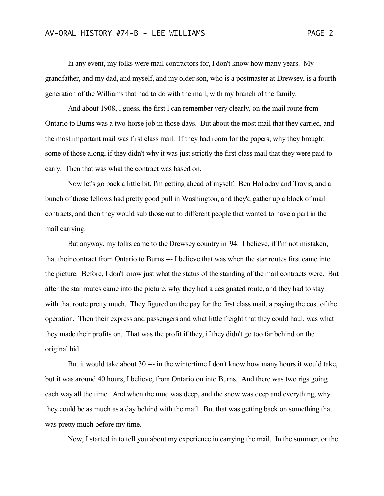In any event, my folks were mail contractors for, I don't know how many years. My grandfather, and my dad, and myself, and my older son, who is a postmaster at Drewsey, is a fourth generation of the Williams that had to do with the mail, with my branch of the family.

And about 1908, I guess, the first I can remember very clearly, on the mail route from Ontario to Burns was a two-horse job in those days. But about the most mail that they carried, and the most important mail was first class mail. If they had room for the papers, why they brought some of those along, if they didn't why it was just strictly the first class mail that they were paid to carry. Then that was what the contract was based on.

Now let's go back a little bit, I'm getting ahead of myself. Ben Holladay and Travis, and a bunch of those fellows had pretty good pull in Washington, and they'd gather up a block of mail contracts, and then they would sub those out to different people that wanted to have a part in the mail carrying.

But anyway, my folks came to the Drewsey country in '94. I believe, if I'm not mistaken, that their contract from Ontario to Burns --- I believe that was when the star routes first came into the picture. Before, I don't know just what the status of the standing of the mail contracts were. But after the star routes came into the picture, why they had a designated route, and they had to stay with that route pretty much. They figured on the pay for the first class mail, a paying the cost of the operation. Then their express and passengers and what little freight that they could haul, was what they made their profits on. That was the profit if they, if they didn't go too far behind on the original bid.

But it would take about 30 --- in the wintertime I don't know how many hours it would take, but it was around 40 hours, I believe, from Ontario on into Burns. And there was two rigs going each way all the time. And when the mud was deep, and the snow was deep and everything, why they could be as much as a day behind with the mail. But that was getting back on something that was pretty much before my time.

Now, I started in to tell you about my experience in carrying the mail. In the summer, or the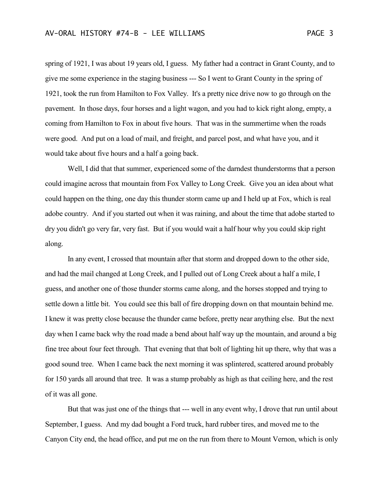spring of 1921, I was about 19 years old, I guess. My father had a contract in Grant County, and to give me some experience in the staging business --- So I went to Grant County in the spring of 1921, took the run from Hamilton to Fox Valley. It's a pretty nice drive now to go through on the pavement. In those days, four horses and a light wagon, and you had to kick right along, empty, a coming from Hamilton to Fox in about five hours. That was in the summertime when the roads were good. And put on a load of mail, and freight, and parcel post, and what have you, and it would take about five hours and a half a going back.

Well, I did that that summer, experienced some of the darndest thunderstorms that a person could imagine across that mountain from Fox Valley to Long Creek. Give you an idea about what could happen on the thing, one day this thunder storm came up and I held up at Fox, which is real adobe country. And if you started out when it was raining, and about the time that adobe started to dry you didn't go very far, very fast. But if you would wait a half hour why you could skip right along.

In any event, I crossed that mountain after that storm and dropped down to the other side, and had the mail changed at Long Creek, and I pulled out of Long Creek about a half a mile, I guess, and another one of those thunder storms came along, and the horses stopped and trying to settle down a little bit. You could see this ball of fire dropping down on that mountain behind me. I knew it was pretty close because the thunder came before, pretty near anything else. But the next day when I came back why the road made a bend about half way up the mountain, and around a big fine tree about four feet through. That evening that that bolt of lighting hit up there, why that was a good sound tree. When I came back the next morning it was splintered, scattered around probably for 150 yards all around that tree. It was a stump probably as high as that ceiling here, and the rest of it was all gone.

But that was just one of the things that --- well in any event why, I drove that run until about September, I guess. And my dad bought a Ford truck, hard rubber tires, and moved me to the Canyon City end, the head office, and put me on the run from there to Mount Vernon, which is only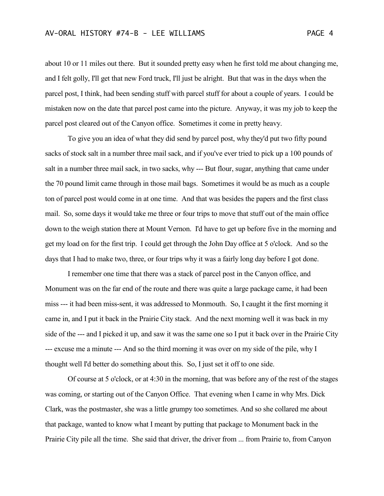about 10 or 11 miles out there. But it sounded pretty easy when he first told me about changing me, and I felt golly, I'll get that new Ford truck, I'll just be alright. But that was in the days when the parcel post, I think, had been sending stuff with parcel stuff for about a couple of years. I could be mistaken now on the date that parcel post came into the picture. Anyway, it was my job to keep the parcel post cleared out of the Canyon office. Sometimes it come in pretty heavy.

To give you an idea of what they did send by parcel post, why they'd put two fifty pound sacks of stock salt in a number three mail sack, and if you've ever tried to pick up a 100 pounds of salt in a number three mail sack, in two sacks, why --- But flour, sugar, anything that came under the 70 pound limit came through in those mail bags. Sometimes it would be as much as a couple ton of parcel post would come in at one time. And that was besides the papers and the first class mail. So, some days it would take me three or four trips to move that stuff out of the main office down to the weigh station there at Mount Vernon. I'd have to get up before five in the morning and get my load on for the first trip. I could get through the John Day office at 5 o'clock. And so the days that I had to make two, three, or four trips why it was a fairly long day before I got done.

I remember one time that there was a stack of parcel post in the Canyon office, and Monument was on the far end of the route and there was quite a large package came, it had been miss --- it had been miss-sent, it was addressed to Monmouth. So, I caught it the first morning it came in, and I put it back in the Prairie City stack. And the next morning well it was back in my side of the --- and I picked it up, and saw it was the same one so I put it back over in the Prairie City --- excuse me a minute --- And so the third morning it was over on my side of the pile, why I thought well I'd better do something about this. So, I just set it off to one side.

Of course at 5 o'clock, or at 4:30 in the morning, that was before any of the rest of the stages was coming, or starting out of the Canyon Office. That evening when I came in why Mrs. Dick Clark, was the postmaster, she was a little grumpy too sometimes. And so she collared me about that package, wanted to know what I meant by putting that package to Monument back in the Prairie City pile all the time. She said that driver, the driver from ... from Prairie to, from Canyon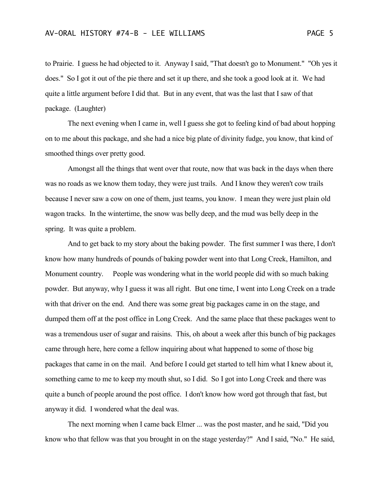to Prairie. I guess he had objected to it. Anyway I said, "That doesn't go to Monument." "Oh yes it does." So I got it out of the pie there and set it up there, and she took a good look at it. We had quite a little argument before I did that. But in any event, that was the last that I saw of that package. (Laughter)

The next evening when I came in, well I guess she got to feeling kind of bad about hopping on to me about this package, and she had a nice big plate of divinity fudge, you know, that kind of smoothed things over pretty good.

Amongst all the things that went over that route, now that was back in the days when there was no roads as we know them today, they were just trails. And I know they weren't cow trails because I never saw a cow on one of them, just teams, you know. I mean they were just plain old wagon tracks. In the wintertime, the snow was belly deep, and the mud was belly deep in the spring. It was quite a problem.

And to get back to my story about the baking powder. The first summer I was there, I don't know how many hundreds of pounds of baking powder went into that Long Creek, Hamilton, and Monument country. People was wondering what in the world people did with so much baking powder. But anyway, why I guess it was all right. But one time, I went into Long Creek on a trade with that driver on the end. And there was some great big packages came in on the stage, and dumped them off at the post office in Long Creek. And the same place that these packages went to was a tremendous user of sugar and raisins. This, oh about a week after this bunch of big packages came through here, here come a fellow inquiring about what happened to some of those big packages that came in on the mail. And before I could get started to tell him what I knew about it, something came to me to keep my mouth shut, so I did. So I got into Long Creek and there was quite a bunch of people around the post office. I don't know how word got through that fast, but anyway it did. I wondered what the deal was.

The next morning when I came back Elmer ... was the post master, and he said, "Did you know who that fellow was that you brought in on the stage yesterday?" And I said, "No." He said,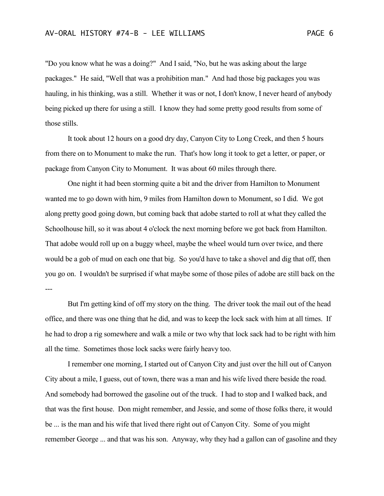"Do you know what he was a doing?" And I said, "No, but he was asking about the large packages." He said, "Well that was a prohibition man." And had those big packages you was hauling, in his thinking, was a still. Whether it was or not, I don't know, I never heard of anybody being picked up there for using a still. I know they had some pretty good results from some of those stills.

It took about 12 hours on a good dry day, Canyon City to Long Creek, and then 5 hours from there on to Monument to make the run. That's how long it took to get a letter, or paper, or package from Canyon City to Monument. It was about 60 miles through there.

One night it had been storming quite a bit and the driver from Hamilton to Monument wanted me to go down with him, 9 miles from Hamilton down to Monument, so I did. We got along pretty good going down, but coming back that adobe started to roll at what they called the Schoolhouse hill, so it was about 4 o'clock the next morning before we got back from Hamilton. That adobe would roll up on a buggy wheel, maybe the wheel would turn over twice, and there would be a gob of mud on each one that big. So you'd have to take a shovel and dig that off, then you go on. I wouldn't be surprised if what maybe some of those piles of adobe are still back on the ---

But I'm getting kind of off my story on the thing. The driver took the mail out of the head office, and there was one thing that he did, and was to keep the lock sack with him at all times. If he had to drop a rig somewhere and walk a mile or two why that lock sack had to be right with him all the time. Sometimes those lock sacks were fairly heavy too.

I remember one morning, I started out of Canyon City and just over the hill out of Canyon City about a mile, I guess, out of town, there was a man and his wife lived there beside the road. And somebody had borrowed the gasoline out of the truck. I had to stop and I walked back, and that was the first house. Don might remember, and Jessie, and some of those folks there, it would be ... is the man and his wife that lived there right out of Canyon City. Some of you might remember George ... and that was his son. Anyway, why they had a gallon can of gasoline and they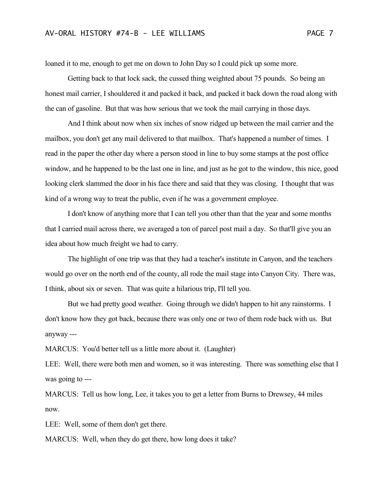loaned it to me, enough to get me on down to John Day so I could pick up some more.

Getting back to that lock sack, the cussed thing weighted about 75 pounds. So being an honest mail carrier, I shouldered it and packed it back, and packed it back down the road along with the can of gasoline. But that was how serious that we took the mail carrying in those days.

And I think about now when six inches of snow ridged up between the mail carrier and the mailbox, you don't get any mail delivered to that mailbox. That's happened a number of times. I read in the paper the other day where a person stood in line to buy some stamps at the post office window, and he happened to be the last one in line, and just as he got to the window, this nice, good looking clerk slammed the door in his face there and said that they was closing. I thought that was kind of a wrong way to treat the public, even if he was a government employee.

I don't know of anything more that I can tell you other than that the year and some months that I carried mail across there, we averaged a ton of parcel post mail a day. So that'll give you an idea about how much freight we had to carry.

The highlight of one trip was that they had a teacher's institute in Canyon, and the teachers would go over on the north end of the county, all rode the mail stage into Canyon City. There was, I think, about six or seven. That was quite a hilarious trip, I'll tell you.

But we had pretty good weather. Going through we didn't happen to hit any rainstorms. I don't know how they got back, because there was only one or two of them rode back with us. But anyway ---

MARCUS: You'd better tell us a little more about it. (Laughter)

LEE: Well, there were both men and women, so it was interesting. There was something else that I was going to ---

MARCUS: Tell us how long, Lee, it takes you to get a letter from Burns to Drewsey, 44 miles now.

LEE: Well, some of them don't get there.

MARCUS: Well, when they do get there, how long does it take?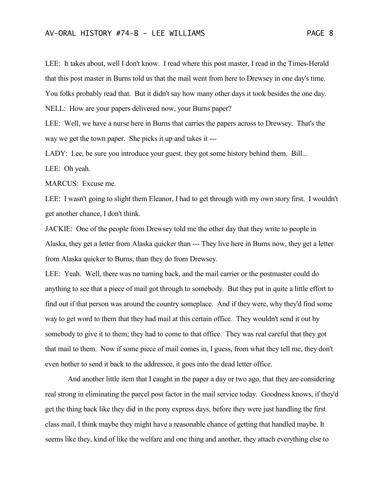## AV-ORAL HISTORY #74-B - LEE WILLIAMS PAGE 8

LEE: It takes about, well I don't know. I read where this post master, I read in the Times-Herald that this post master in Burns told us that the mail went from here to Drewsey in one day's time. You folks probably read that. But it didn't say how many other days it took besides the one day. NELL: How are your papers delivered now, your Burns paper?

LEE: Well, we have a nurse here in Burns that carries the papers across to Drewsey. That's the way we get the town paper. She picks it up and takes it ---

LADY: Lee, be sure you introduce your guest, they got some history behind them. Bill...

LEE: Oh yeah.

MARCUS: Excuse me.

LEE: I wasn't going to slight them Eleanor, I had to get through with my own story first. I wouldn't get another chance, I don't think.

JACKIE: One of the people from Drewsey told me the other day that they write to people in Alaska, they get a letter from Alaska quicker than --- They live here in Burns now, they get a letter from Alaska quicker to Burns, than they do from Drewsey.

LEE: Yeah. Well, there was no turning back, and the mail carrier or the postmaster could do anything to see that a piece of mail got through to somebody. But they put in quite a little effort to find out if that person was around the country someplace. And if they were, why they'd find some way to get word to them that they had mail at this certain office. They wouldn't send it out by somebody to give it to them; they had to come to that office. They was real careful that they got that mail to them. Now if some piece of mail comes in, I guess, from what they tell me, they don't even bother to send it back to the addressee, it goes into the dead letter office.

And another little item that I caught in the paper a day or two ago, that they are considering real strong in eliminating the parcel post factor in the mail service today. Goodness knows, if they'd get the thing back like they did in the pony express days, before they were just handling the first class mail, I think maybe they might have a reasonable chance of getting that handled maybe. It seems like they, kind of like the welfare and one thing and another, they attach everything else to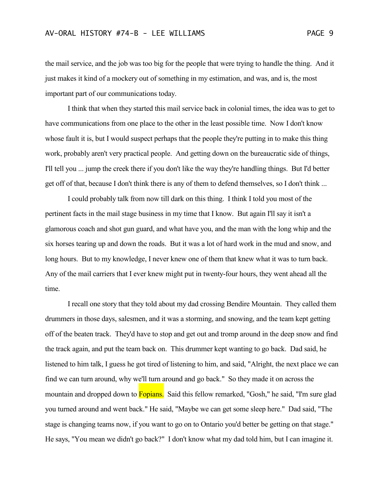the mail service, and the job was too big for the people that were trying to handle the thing. And it just makes it kind of a mockery out of something in my estimation, and was, and is, the most important part of our communications today.

I think that when they started this mail service back in colonial times, the idea was to get to have communications from one place to the other in the least possible time. Now I don't know whose fault it is, but I would suspect perhaps that the people they're putting in to make this thing work, probably aren't very practical people. And getting down on the bureaucratic side of things, I'll tell you ... jump the creek there if you don't like the way they're handling things. But I'd better get off of that, because I don't think there is any of them to defend themselves, so I don't think ...

I could probably talk from now till dark on this thing. I think I told you most of the pertinent facts in the mail stage business in my time that I know. But again I'll say it isn't a glamorous coach and shot gun guard, and what have you, and the man with the long whip and the six horses tearing up and down the roads. But it was a lot of hard work in the mud and snow, and long hours. But to my knowledge, I never knew one of them that knew what it was to turn back. Any of the mail carriers that I ever knew might put in twenty-four hours, they went ahead all the time.

I recall one story that they told about my dad crossing Bendire Mountain. They called them drummers in those days, salesmen, and it was a storming, and snowing, and the team kept getting off of the beaten track. They'd have to stop and get out and tromp around in the deep snow and find the track again, and put the team back on. This drummer kept wanting to go back. Dad said, he listened to him talk, I guess he got tired of listening to him, and said, "Alright, the next place we can find we can turn around, why we'll turn around and go back." So they made it on across the mountain and dropped down to **Fopians.** Said this fellow remarked, "Gosh," he said, "I'm sure glad you turned around and went back." He said, "Maybe we can get some sleep here." Dad said, "The stage is changing teams now, if you want to go on to Ontario you'd better be getting on that stage." He says, "You mean we didn't go back?" I don't know what my dad told him, but I can imagine it.